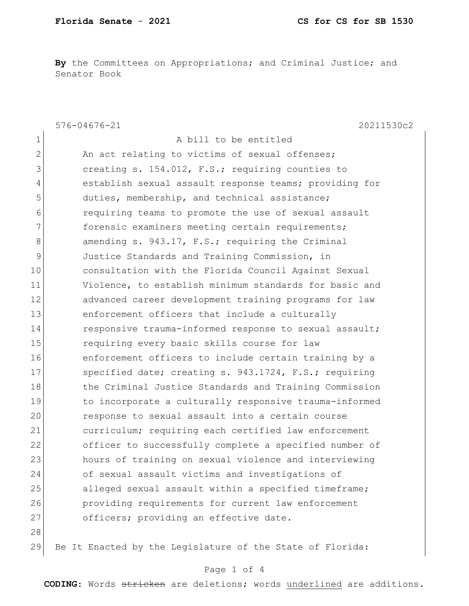**By** the Committees on Appropriations; and Criminal Justice; and Senator Book

|                | 576-04676-21<br>20211530c2                                |
|----------------|-----------------------------------------------------------|
| 1              | A bill to be entitled                                     |
| $\overline{2}$ | An act relating to victims of sexual offenses;            |
| 3              | creating s. 154.012, F.S.; requiring counties to          |
| 4              | establish sexual assault response teams; providing for    |
| 5              | duties, membership, and technical assistance;             |
| 6              | requiring teams to promote the use of sexual assault      |
| 7              | forensic examiners meeting certain requirements;          |
| 8              | amending s. 943.17, F.S.; requiring the Criminal          |
| 9              | Justice Standards and Training Commission, in             |
| 10             | consultation with the Florida Council Against Sexual      |
| 11             | Violence, to establish minimum standards for basic and    |
| 12             | advanced career development training programs for law     |
| 13             | enforcement officers that include a culturally            |
| 14             | responsive trauma-informed response to sexual assault;    |
| 15             | requiring every basic skills course for law               |
| 16             | enforcement officers to include certain training by a     |
| 17             | specified date; creating s. 943.1724, F.S.; requiring     |
| 18             | the Criminal Justice Standards and Training Commission    |
| 19             | to incorporate a culturally responsive trauma-informed    |
| 20             | response to sexual assault into a certain course          |
| 21             | curriculum; requiring each certified law enforcement      |
| 22             | officer to successfully complete a specified number of    |
| 23             | hours of training on sexual violence and interviewing     |
| 24             | of sexual assault victims and investigations of           |
| 25             | alleged sexual assault within a specified timeframe;      |
| 26             | providing requirements for current law enforcement        |
| 27             | officers; providing an effective date.                    |
| 28             |                                                           |
| 29             | Be It Enacted by the Legislature of the State of Florida: |

## Page 1 of 4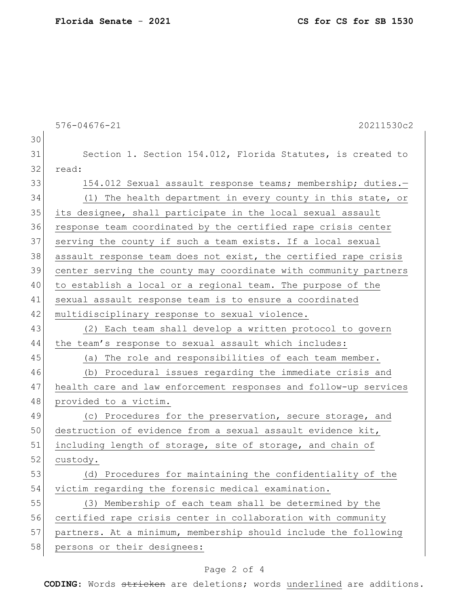**Florida Senate** - **2021 CS for CS for SB 1530**

|    | $576 - 04676 - 21$<br>20211530c2                                 |
|----|------------------------------------------------------------------|
| 30 |                                                                  |
| 31 | Section 1. Section 154.012, Florida Statutes, is created to      |
| 32 | read:                                                            |
| 33 | 154.012 Sexual assault response teams; membership; duties.-      |
| 34 | (1) The health department in every county in this state, or      |
| 35 | its designee, shall participate in the local sexual assault      |
| 36 | response team coordinated by the certified rape crisis center    |
| 37 | serving the county if such a team exists. If a local sexual      |
| 38 | assault response team does not exist, the certified rape crisis  |
| 39 | center serving the county may coordinate with community partners |
| 40 | to establish a local or a regional team. The purpose of the      |
| 41 | sexual assault response team is to ensure a coordinated          |
| 42 | multidisciplinary response to sexual violence.                   |
| 43 | (2) Each team shall develop a written protocol to govern         |
| 44 | the team's response to sexual assault which includes:            |
| 45 | The role and responsibilities of each team member.<br>(a)        |
| 46 | (b) Procedural issues regarding the immediate crisis and         |
| 47 | health care and law enforcement responses and follow-up services |
| 48 | provided to a victim.                                            |
| 49 | (c) Procedures for the preservation, secure storage, and         |
| 50 | destruction of evidence from a sexual assault evidence kit,      |
| 51 | including length of storage, site of storage, and chain of       |
| 52 | custody.                                                         |
| 53 | (d) Procedures for maintaining the confidentiality of the        |
| 54 | victim regarding the forensic medical examination.               |
| 55 | (3) Membership of each team shall be determined by the           |
| 56 | certified rape crisis center in collaboration with community     |
| 57 | partners. At a minimum, membership should include the following  |
| 58 | persons or their designees:                                      |

## Page 2 of 4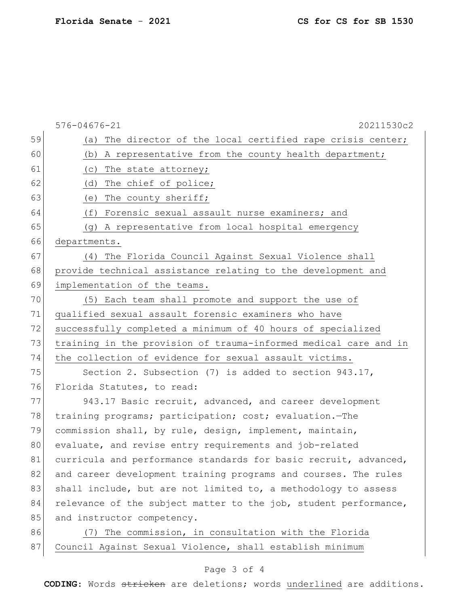| 59<br>The director of the local certified rape crisis center;<br>(a)<br>60<br>(b) A representative from the county health department;<br>61<br>The state attorney;<br>(C)<br>62<br>The chief of police;<br>(d)<br>63<br>The county sheriff;<br>(e)<br>64<br>Forensic sexual assault nurse examiners; and<br>(f)<br>65<br>(g) A representative from local hospital emergency<br>66<br>departments. |  |
|---------------------------------------------------------------------------------------------------------------------------------------------------------------------------------------------------------------------------------------------------------------------------------------------------------------------------------------------------------------------------------------------------|--|
|                                                                                                                                                                                                                                                                                                                                                                                                   |  |
|                                                                                                                                                                                                                                                                                                                                                                                                   |  |
|                                                                                                                                                                                                                                                                                                                                                                                                   |  |
|                                                                                                                                                                                                                                                                                                                                                                                                   |  |
|                                                                                                                                                                                                                                                                                                                                                                                                   |  |
|                                                                                                                                                                                                                                                                                                                                                                                                   |  |
|                                                                                                                                                                                                                                                                                                                                                                                                   |  |
|                                                                                                                                                                                                                                                                                                                                                                                                   |  |
| 67<br>The Florida Council Against Sexual Violence shall<br>(4)                                                                                                                                                                                                                                                                                                                                    |  |
| 68<br>provide technical assistance relating to the development and                                                                                                                                                                                                                                                                                                                                |  |
| 69<br>implementation of the teams.                                                                                                                                                                                                                                                                                                                                                                |  |
| 70<br>(5) Each team shall promote and support the use of                                                                                                                                                                                                                                                                                                                                          |  |
| 71<br>qualified sexual assault forensic examiners who have                                                                                                                                                                                                                                                                                                                                        |  |
| 72<br>successfully completed a minimum of 40 hours of specialized                                                                                                                                                                                                                                                                                                                                 |  |
| 73<br>training in the provision of trauma-informed medical care and in                                                                                                                                                                                                                                                                                                                            |  |
| 74<br>the collection of evidence for sexual assault victims.                                                                                                                                                                                                                                                                                                                                      |  |
| 75<br>Section 2. Subsection (7) is added to section 943.17,                                                                                                                                                                                                                                                                                                                                       |  |
| 76<br>Florida Statutes, to read:                                                                                                                                                                                                                                                                                                                                                                  |  |
| 77<br>943.17 Basic recruit, advanced, and career development                                                                                                                                                                                                                                                                                                                                      |  |
| 78<br>training programs; participation; cost; evaluation.-The                                                                                                                                                                                                                                                                                                                                     |  |
| 79<br>commission shall, by rule, design, implement, maintain,                                                                                                                                                                                                                                                                                                                                     |  |
| 80<br>evaluate, and revise entry requirements and job-related                                                                                                                                                                                                                                                                                                                                     |  |
| 81<br>curricula and performance standards for basic recruit, advanced,                                                                                                                                                                                                                                                                                                                            |  |
| 82<br>and career development training programs and courses. The rules                                                                                                                                                                                                                                                                                                                             |  |
| 83<br>shall include, but are not limited to, a methodology to assess                                                                                                                                                                                                                                                                                                                              |  |
| 84<br>relevance of the subject matter to the job, student performance,                                                                                                                                                                                                                                                                                                                            |  |
| 85<br>and instructor competency.                                                                                                                                                                                                                                                                                                                                                                  |  |
| 86<br>The commission, in consultation with the Florida<br>(7)                                                                                                                                                                                                                                                                                                                                     |  |
| 87<br>Council Against Sexual Violence, shall establish minimum                                                                                                                                                                                                                                                                                                                                    |  |

## Page 3 of 4